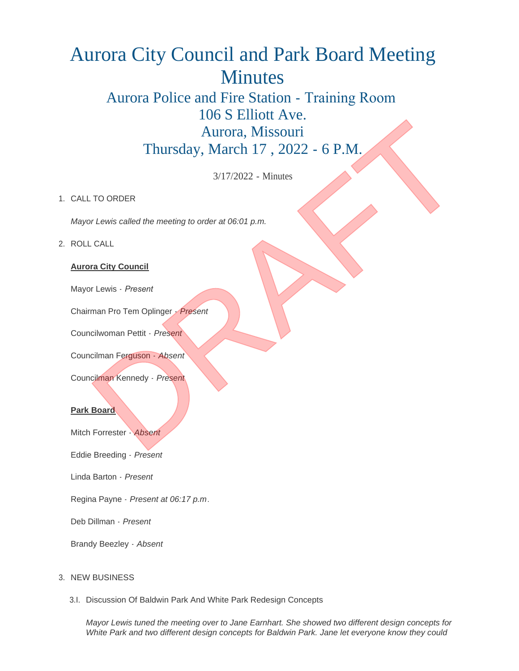# Aurora City Council and Park Board Meeting Minutes

# Aurora Police and Fire Station - Training Room 106 S Elliott Ave. Aurora, Missouri Thursday, March 17 , 2022 - 6 P.M. Nursday, March 17, 2022 - 6 P.M.<br>
Aurora, Missouri<br>
Thursday, March 17, 2022 - 6 P.M.<br>
3/17/2022 - Minutes<br>
TO ORDER<br>
DRAFT AUSSER<br>
THE VISS Called the meeting to order at 06:01 p.m.<br>
CALL<br>
The True Second Content of the C

3/17/2022 - Minutes

# 1. CALL TO ORDER

*Mayor Lewis called the meeting to order at 06:01 p.m.*

## ROLL CALL 2.

## **Aurora City Council**

Mayor Lewis - *Present* 

Chairman Pro Tem Oplinger - *Present*

Councilwoman Pettit - *Present*

Councilman Ferguson - *Absent*

Councilman Kennedy - *Present*

### **Park Board**

Mitch Forrester - *Absent*

Eddie Breeding - *Present*

Linda Barton - *Present*

Regina Payne - *Present at 06:17 p.m*.

Deb Dillman - *Present*

Brandy Beezley - *Absent*

## 3. NEW BUSINESS

3.I. Discussion Of Baldwin Park And White Park Redesign Concepts

*Mayor Lewis tuned the meeting over to Jane Earnhart. She showed two different design concepts for White Park and two different design concepts for Baldwin Park. Jane let everyone know they could*